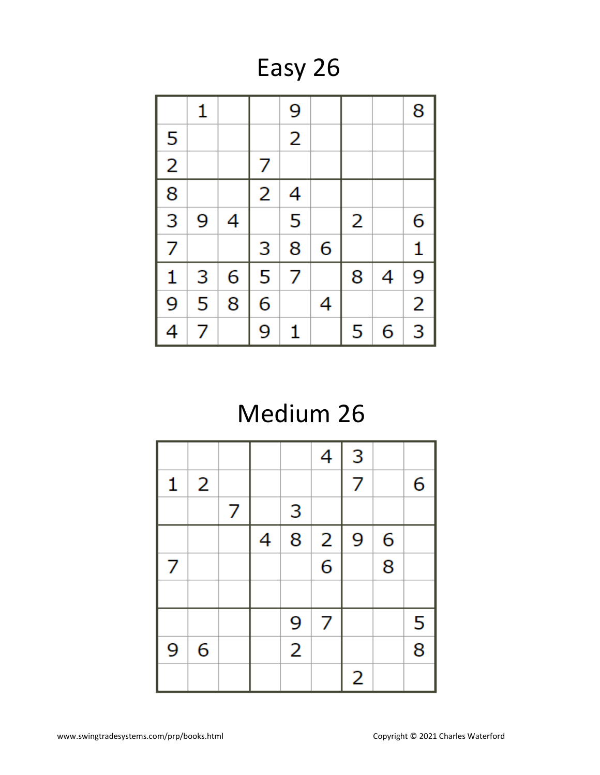Easy 26

|                | 1 |   |                | 9              |   |   |   | 8              |
|----------------|---|---|----------------|----------------|---|---|---|----------------|
| 5              |   |   |                | $\overline{2}$ |   |   |   |                |
| $\overline{2}$ |   |   | 7              |                |   |   |   |                |
| $\frac{1}{8}$  |   |   | $\overline{2}$ | 4              |   |   |   |                |
| $\overline{3}$ | 9 | 4 |                | 5              |   | 2 |   | 6              |
| $\overline{7}$ |   |   | 3              | 8              | 6 |   |   | $\mathbf{1}$   |
| 1              | 3 | 6 | 5              | 7              |   | 8 | 4 | 9              |
| $\overline{9}$ | 5 | 8 | 6              |                | 4 |   |   | $\overline{2}$ |
| 4              | 7 |   | 9              | 1              |   | 5 | 6 | $\overline{3}$ |

## Medium 26

|   |   |   |   |                | 4              | 3 |   |                |
|---|---|---|---|----------------|----------------|---|---|----------------|
| 1 | 2 |   |   |                |                | 7 |   | 6              |
|   |   | 7 |   | 3              |                |   |   |                |
|   |   |   | 4 | 8              | $\overline{2}$ | 9 | 6 |                |
| 7 |   |   |   |                | $\overline{6}$ |   | 8 |                |
|   |   |   |   |                |                |   |   |                |
|   |   |   |   | 9              | 7              |   |   | 5              |
| 9 | 6 |   |   | $\overline{2}$ |                |   |   | $\overline{8}$ |
|   |   |   |   |                |                | 2 |   |                |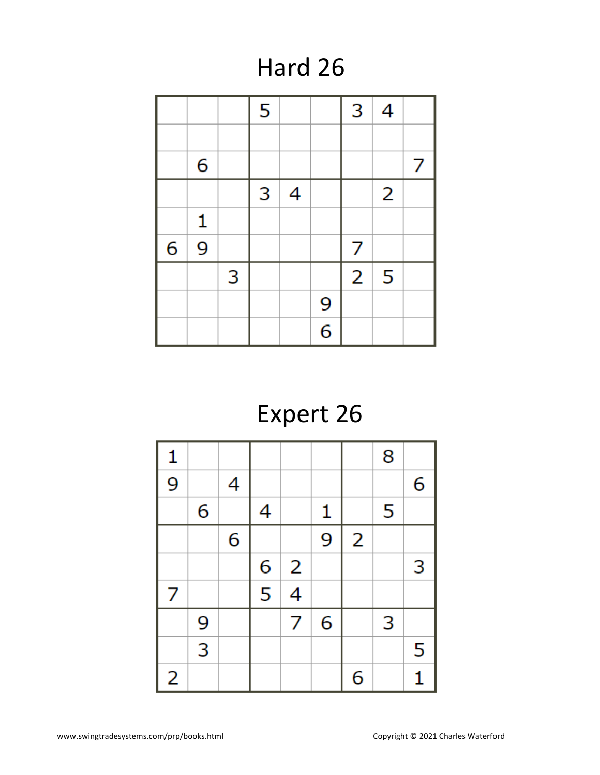#### Hard 26

|   |              |   | 5 |   |                | 3              | $\overline{4}$ |   |
|---|--------------|---|---|---|----------------|----------------|----------------|---|
|   |              |   |   |   |                |                |                |   |
|   | 6            |   |   |   |                |                |                | 7 |
|   |              |   | 3 | 4 |                |                | $\overline{2}$ |   |
|   | $\mathbf{1}$ |   |   |   |                |                |                |   |
| 6 | 9            |   |   |   |                | 7              |                |   |
|   |              | 3 |   |   |                | $\overline{2}$ | 5              |   |
|   |              |   |   |   | 9              |                |                |   |
|   |              |   |   |   | $\overline{6}$ |                |                |   |

# Expert 26

| $\mathbf{1}$   |                |   |                                      |                         |   |                | 8 |              |
|----------------|----------------|---|--------------------------------------|-------------------------|---|----------------|---|--------------|
| $\overline{9}$ |                | 4 |                                      |                         |   |                |   | 6            |
|                | 6              |   | 4                                    |                         | 1 |                | 5 |              |
|                |                | 6 |                                      |                         | 9 | $\overline{2}$ |   |              |
|                |                |   | 6                                    | $\overline{\mathbf{c}}$ |   |                |   | 3            |
| 7              |                |   | $\overline{\overline{\overline{5}}}$ | $\overline{4}$          |   |                |   |              |
|                | 9              |   |                                      | 7                       | 6 |                | 3 |              |
|                | $\overline{3}$ |   |                                      |                         |   |                |   | 5            |
| 2              |                |   |                                      |                         |   | 6              |   | $\mathbf{1}$ |